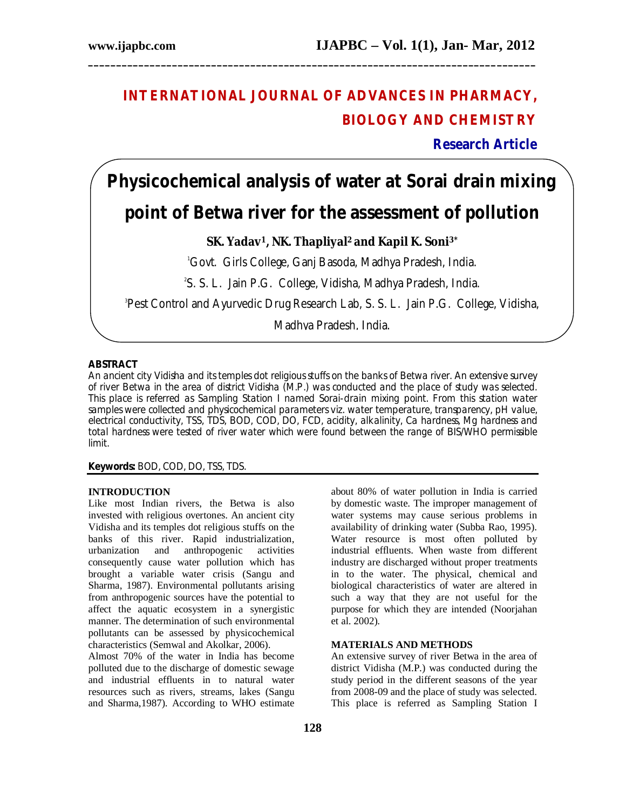## **INTERNATIONAL JOURNAL OF ADVANCES IN PHARMACY, BIOLOGY AND CHEMISTRY**

**\_\_\_\_\_\_\_\_\_\_\_\_\_\_\_\_\_\_\_\_\_\_\_\_\_\_\_\_\_\_\_\_\_\_\_\_\_\_\_\_\_\_\_\_\_\_\_\_\_\_\_\_\_\_\_\_\_\_\_\_\_\_\_\_\_\_\_\_\_\_\_\_\_\_\_\_\_\_\_\_**

**Research Article**

# **Physicochemical analysis of water at Sorai drain mixing point of Betwa river for the assessment of pollution**

### **SK. Yadav1, NK. Thapliyal2 and Kapil K. Soni3\***

<sup>1</sup>Govt. Girls College, Ganj Basoda, Madhya Pradesh, India.

2 S. S. L. Jain P.G. College, Vidisha, Madhya Pradesh, India.

3 Pest Control and Ayurvedic Drug Research Lab, S. S. L. Jain P.G. College, Vidisha,

Madhya Pradesh, India.

#### **ABSTRACT**

An ancient city Vidisha and its temples dot religious stuffs on the banks of Betwa river. An extensive survey of river Betwa in the area of district Vidisha (M.P.) was conducted and the place of study was selected. This place is referred as Sampling Station I named Sorai-drain mixing point. From this station water samples were collected and physicochemical parameters viz. water temperature, transparency, pH value, electrical conductivity, TSS, TDS, BOD, COD, DO, FCD, acidity, alkalinity, Ca hardness, Mg hardness and total hardness were tested of river water which were found between the range of BIS/WHO permissible limit.

**Keywords:** BOD, COD, DO, TSS, TDS.

#### **INTRODUCTION**

Like most Indian rivers, the Betwa is also invested with religious overtones. An ancient city Vidisha and its temples dot religious stuffs on the banks of this river. Rapid industrialization, urbanization and anthropogenic activities consequently cause water pollution which has brought a variable water crisis (Sangu and Sharma, 1987). Environmental pollutants arising from anthropogenic sources have the potential to affect the aquatic ecosystem in a synergistic manner. The determination of such environmental pollutants can be assessed by physicochemical characteristics (Semwal and Akolkar, 2006).

Almost 70% of the water in India has become polluted due to the discharge of domestic sewage and industrial effluents in to natural water resources such as rivers, streams, lakes (Sangu and Sharma,1987). According to WHO estimate

about 80% of water pollution in India is carried by domestic waste. The improper management of water systems may cause serious problems in availability of drinking water (Subba Rao, 1995). Water resource is most often polluted by industrial effluents. When waste from different industry are discharged without proper treatments in to the water. The physical, chemical and biological characteristics of water are altered in such a way that they are not useful for the purpose for which they are intended (Noorjahan et al. 2002).

#### **MATERIALS AND METHODS**

An extensive survey of river Betwa in the area of district Vidisha (M.P.) was conducted during the study period in the different seasons of the year from 2008-09 and the place of study was selected. This place is referred as Sampling Station I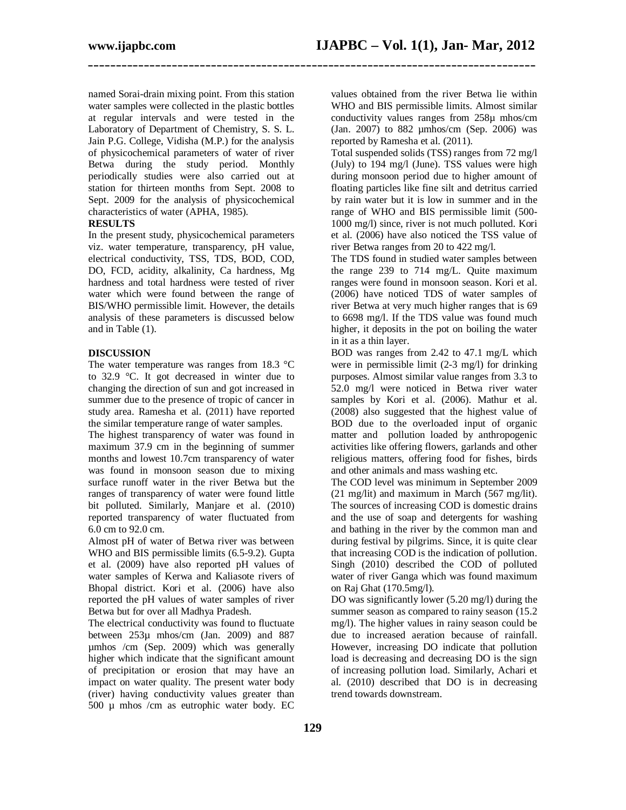**\_\_\_\_\_\_\_\_\_\_\_\_\_\_\_\_\_\_\_\_\_\_\_\_\_\_\_\_\_\_\_\_\_\_\_\_\_\_\_\_\_\_\_\_\_\_\_\_\_\_\_\_\_\_\_\_\_\_\_\_\_\_\_\_\_\_\_\_\_\_\_\_\_\_\_\_\_\_\_\_**

named Sorai-drain mixing point. From this station water samples were collected in the plastic bottles at regular intervals and were tested in the Laboratory of Department of Chemistry, S. S. L. Jain P.G. College, Vidisha (M.P.) for the analysis of physicochemical parameters of water of river Betwa during the study period. Monthly periodically studies were also carried out at station for thirteen months from Sept. 2008 to Sept. 2009 for the analysis of physicochemical characteristics of water (APHA, 1985).

#### **RESULTS**

In the present study, physicochemical parameters viz. water temperature, transparency, pH value, electrical conductivity, TSS, TDS, BOD, COD, DO, FCD, acidity, alkalinity, Ca hardness, Mg hardness and total hardness were tested of river water which were found between the range of BIS/WHO permissible limit. However, the details analysis of these parameters is discussed below and in Table (1).

#### **DISCUSSION**

The water temperature was ranges from 18.3 °C to 32.9 °C. It got decreased in winter due to changing the direction of sun and got increased in summer due to the presence of tropic of cancer in study area. Ramesha et al. (2011) have reported the similar temperature range of water samples.

The highest transparency of water was found in maximum 37.9 cm in the beginning of summer months and lowest 10.7cm transparency of water was found in monsoon season due to mixing surface runoff water in the river Betwa but the ranges of transparency of water were found little bit polluted. Similarly, Manjare et al. (2010) reported transparency of water fluctuated from 6.0 cm to 92.0 cm.

Almost pH of water of Betwa river was between WHO and BIS permissible limits (6.5-9.2). Gupta et al. (2009) have also reported pH values of water samples of Kerwa and Kaliasote rivers of Bhopal district. Kori et al. (2006) have also reported the pH values of water samples of river Betwa but for over all Madhya Pradesh.

The electrical conductivity was found to fluctuate between 253µ mhos/cm (Jan. 2009) and 887 µmhos /cm (Sep. 2009) which was generally higher which indicate that the significant amount of precipitation or erosion that may have an impact on water quality. The present water body (river) having conductivity values greater than 500 µ mhos /cm as eutrophic water body. EC

values obtained from the river Betwa lie within WHO and BIS permissible limits. Almost similar conductivity values ranges from 258µ mhos/cm (Jan. 2007) to 882 µmhos/cm (Sep. 2006) was reported by Ramesha et al. (2011).

Total suspended solids (TSS) ranges from 72 mg/l (July) to 194 mg/l (June). TSS values were high during monsoon period due to higher amount of floating particles like fine silt and detritus carried by rain water but it is low in summer and in the range of WHO and BIS permissible limit (500- 1000 mg/l) since, river is not much polluted. Kori et al. (2006) have also noticed the TSS value of river Betwa ranges from 20 to 422 mg/l.

The TDS found in studied water samples between the range 239 to 714 mg/L. Quite maximum ranges were found in monsoon season. Kori et al. (2006) have noticed TDS of water samples of river Betwa at very much higher ranges that is 69 to 6698 mg/l. If the TDS value was found much higher, it deposits in the pot on boiling the water in it as a thin layer.

BOD was ranges from 2.42 to 47.1 mg/L which were in permissible limit (2-3 mg/l) for drinking purposes. Almost similar value ranges from 3.3 to 52.0 mg/l were noticed in Betwa river water samples by Kori et al. (2006). Mathur et al. (2008) also suggested that the highest value of BOD due to the overloaded input of organic matter and pollution loaded by anthropogenic activities like offering flowers, garlands and other religious matters, offering food for fishes, birds and other animals and mass washing etc.

The COD level was minimum in September 2009 (21 mg/lit) and maximum in March (567 mg/lit). The sources of increasing COD is domestic drains and the use of soap and detergents for washing and bathing in the river by the common man and during festival by pilgrims. Since, it is quite clear that increasing COD is the indication of pollution. Singh (2010) described the COD of polluted water of river Ganga which was found maximum on Raj Ghat (170.5mg/l).

DO was significantly lower (5.20 mg/l) during the summer season as compared to rainy season  $(15.2)$ mg/l). The higher values in rainy season could be due to increased aeration because of rainfall. However, increasing DO indicate that pollution load is decreasing and decreasing DO is the sign of increasing pollution load. Similarly, Achari et al. (2010) described that DO is in decreasing trend towards downstream.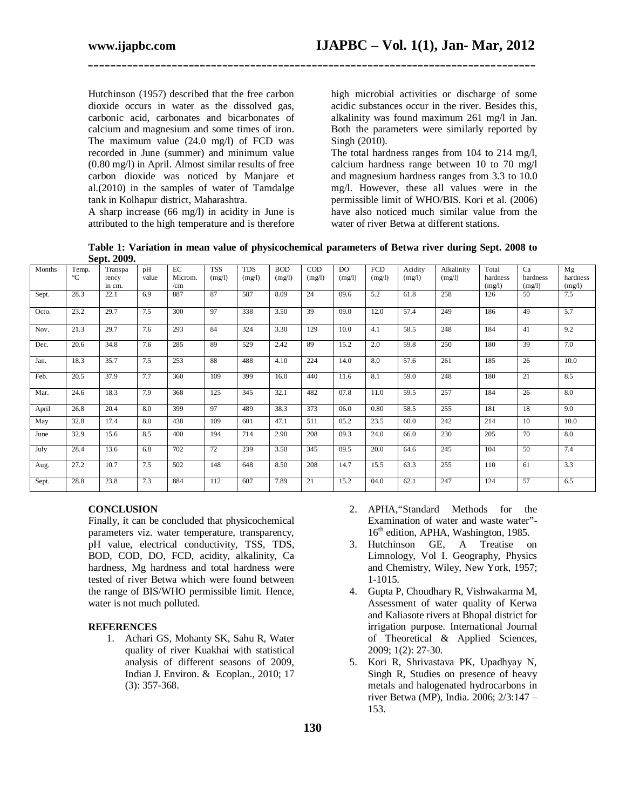Hutchinson (1957) described that the free carbon dioxide occurs in water as the dissolved gas, carbonic acid, carbonates and bicarbonates of calcium and magnesium and some times of iron. The maximum value (24.0 mg/l) of FCD was recorded in June (summer) and minimum value (0.80 mg/l) in April. Almost similar results of free carbon dioxide was noticed by Manjare et al.(2010) in the samples of water of Tamdalge tank in Kolhapur district, Maharashtra.

A sharp increase (66 mg/l) in acidity in June is attributed to the high temperature and is therefore high microbial activities or discharge of some acidic substances occur in the river. Besides this, alkalinity was found maximum 261 mg/l in Jan. Both the parameters were similarly reported by Singh (2010).

The total hardness ranges from 104 to 214 mg/l, calcium hardness range between 10 to 70 mg/l and magnesium hardness ranges from 3.3 to 10.0 mg/l. However, these all values were in the permissible limit of WHO/BIS. Kori et al. (2006) have also noticed much similar value from the water of river Betwa at different stations.

**Table 1: Variation in mean value of physicochemical parameters of Betwa river during Sept. 2008 to Sept. 2009.**

**\_\_\_\_\_\_\_\_\_\_\_\_\_\_\_\_\_\_\_\_\_\_\_\_\_\_\_\_\_\_\_\_\_\_\_\_\_\_\_\_\_\_\_\_\_\_\_\_\_\_\_\_\_\_\_\_\_\_\_\_\_\_\_\_\_\_\_\_\_\_\_\_\_\_\_\_\_\_\_\_**

| Months | Temp.<br>$^{\circ}C$ | Transpa<br>rency<br>in cm. | pH<br>value | $\rm EC$<br>Microm.<br>/cm | <b>TSS</b><br>(mg/l) | <b>TDS</b><br>(mg/l) | <b>BOD</b><br>(mg/l) | COD<br>(mg/l) | D <sub>O</sub><br>(mg/l) | <b>FCD</b><br>(mg/l) | Acidity<br>(mg/l) | Alkalinity<br>(mg/l) | Total<br>hardness<br>(mg/l) | Ca<br>hardness<br>(mg/l) | Mg<br>hardness<br>(mg/l) |
|--------|----------------------|----------------------------|-------------|----------------------------|----------------------|----------------------|----------------------|---------------|--------------------------|----------------------|-------------------|----------------------|-----------------------------|--------------------------|--------------------------|
| Sept.  | 28.3                 | 22.1                       | 6.9         | 887                        | 87                   | 587                  | 8.09                 | 24            | 09.6                     | 5.2                  | 61.8              | 258                  | 126                         | 50                       | 7.5                      |
| Octo.  | 23.2                 | 29.7                       | 7.5         | 300                        | 97                   | 338                  | 3.50                 | 39            | 09.0                     | 12.0                 | 57.4              | 249                  | 186                         | 49                       | 5.7                      |
| Nov.   | 21.3                 | 29.7                       | 7.6         | 293                        | 84                   | 324                  | 3.30                 | 129           | 10.0                     | 4.1                  | 58.5              | 248                  | 184                         | 41                       | 9.2                      |
| Dec.   | 20.6                 | 34.8                       | 7.6         | 285                        | 89                   | 529                  | 2.42                 | 89            | 15.2                     | 2.0                  | 59.8              | 250                  | 180                         | 39                       | 7.0                      |
| Jan.   | 18.3                 | 35.7                       | 7.5         | 253                        | 88                   | 488                  | 4.10                 | 224           | 14.0                     | 8.0                  | 57.6              | 261                  | 185                         | 26                       | 10.0                     |
| Feb.   | 20.5                 | 37.9                       | 7.7         | 360                        | 109                  | 399                  | 16.0                 | 440           | 11.6                     | 8.1                  | 59.0              | 248                  | 180                         | 21                       | 8.5                      |
| Mar.   | 24.6                 | 18.3                       | 7.9         | 368                        | 125                  | 345                  | 32.1                 | 482           | 07.8                     | 11.0                 | 59.5              | 257                  | 184                         | 26                       | 8.0                      |
| April  | 26.8                 | 20.4                       | 8.0         | 399                        | 97                   | 489                  | 38.3                 | 373           | 06.0                     | 0.80                 | 58.5              | 255                  | 181                         | 18                       | 9.0                      |
| May    | 32.8                 | 17.4                       | 8.0         | 438                        | 109                  | 601                  | 47.1                 | 511           | 05.2                     | 23.5                 | 60.0              | 242                  | 214                         | 10                       | 10.0                     |
| June   | 32.9                 | 15.6                       | 8.5         | 400                        | 194                  | 714                  | 2.90                 | 208           | 09.3                     | 24.0                 | 66.0              | 230                  | 205                         | 70                       | 8.0                      |
| July   | 28.4                 | 13.6                       | 6.8         | 702                        | 72                   | 239                  | 3.50                 | 345           | 09.5                     | 20.0                 | 64.6              | 245                  | 104                         | 50                       | 7.4                      |
| Aug.   | 27.2                 | 10.7                       | 7.5         | 502                        | 148                  | 648                  | 8.50                 | 208           | 14.7                     | 15.5                 | 63.3              | 255                  | 110                         | 61                       | 3.3                      |
| Sept.  | 28.8                 | 23.8                       | 7.3         | 884                        | 112                  | 607                  | 7.89                 | 21            | 15.2                     | 04.0                 | 62.1              | 247                  | 124                         | 57                       | 6.5                      |

#### **CONCLUSION**

Finally, it can be concluded that physicochemical parameters viz. water temperature, transparency, pH value, electrical conductivity, TSS, TDS, BOD, COD, DO, FCD, acidity, alkalinity, Ca hardness, Mg hardness and total hardness were tested of river Betwa which were found between the range of BIS/WHO permissible limit. Hence, water is not much polluted.

#### **REFERENCES**

1. Achari GS, Mohanty SK, Sahu R, Water quality of river Kuakhai with statistical analysis of different seasons of 2009, Indian J. Environ. & Ecoplan., 2010; 17 (3): 357-368.

- 2. APHA,"Standard Methods for the Examination of water and waste water"- 16<sup>th</sup> edition, APHA, Washington, 1985.
- 3. Hutchinson GE, A Treatise on Limnology, Vol I. Geography, Physics and Chemistry, Wiley, New York, 1957; 1-1015.
- 4. Gupta P, Choudhary R, Vishwakarma M, Assessment of water quality of Kerwa and Kaliasote rivers at Bhopal district for irrigation purpose. International Journal of Theoretical & Applied Sciences, 2009; 1(2): 27-30.
- 5. Kori R, Shrivastava PK, Upadhyay N, Singh R, Studies on presence of heavy metals and halogenated hydrocarbons in river Betwa (MP), India. 2006; 2/3:147 – 153.